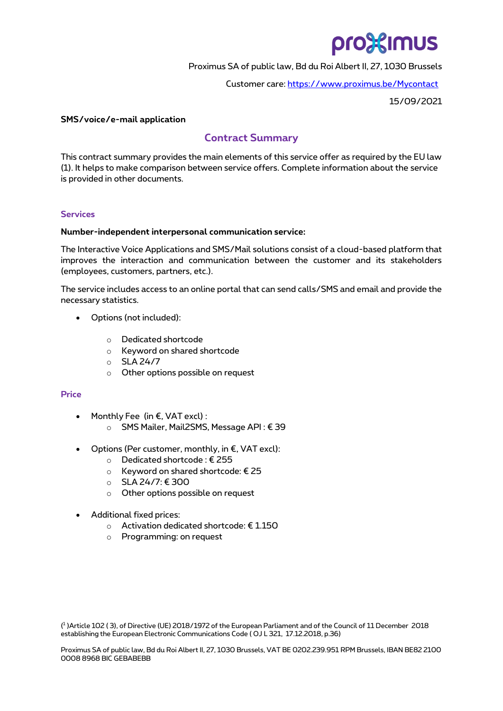# pro%imus

Proximus SA of public law, Bd du Roi Albert II, 27, 1030 Brussels

Customer care[: https://www.proximus.be/Mycontact](https://www.proximus.be/Mycontact)

15/09/2021

# **SMS/voice/e-mail application**

# **Contract Summary**

This contract summary provides the main elements of this service offer as required by the EU law (1). It helps to make comparison between service offers. Complete information about the service is provided in other documents.

# **Services**

# **Number-independent interpersonal communication service:**

The Interactive Voice Applications and SMS/Mail solutions consist of a cloud-based platform that improves the interaction and communication between the customer and its stakeholders (employees, customers, partners, etc.).

The service includes access to an online portal that can send calls/SMS and email and provide the necessary statistics.

- Options (not included):
	- o Dedicated shortcode
	- o Keyword on shared shortcode
	- o SLA 24/7
	- o Other options possible on request

#### **Price**

- Monthly Fee (in €, VAT excl) :
	- o SMS Mailer, Mail2SMS, Message API : € 39
- Options (Per customer, monthly, in €, VAT excl):
	- o Dedicated shortcode : € 255
	- o Keyword on shared shortcode: € 25
	- o SLA 24/7: € 300
	- o Other options possible on request
- Additional fixed prices:
	- o Activation dedicated shortcode: € 1.150
	- o Programming: on request

( 1 )Article 102 ( 3), of Directive (UE) 2018/1972 of the European Parliament and of the Council of 11 December 2018 establishing the European Electronic Communications Code ( OJ L 321, 17.12.2018, p.36)